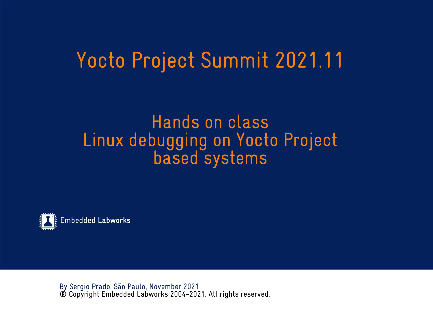## Yocto Project Summit 2021.11

#### Hands on class Linux debugging on Yocto Project based systems



By Sergio Prado. São Paulo, November 2021 ® Copyright Embedded Labworks 2004-2021. All rights reserved.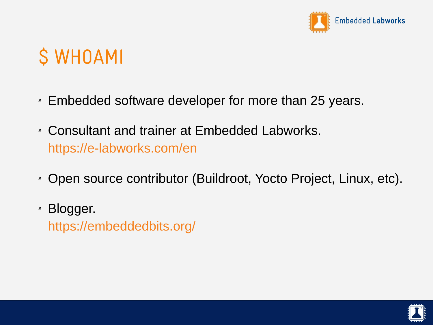

# \$ WHOAMI

- ✗ Embedded software developer for more than 25 years.
- ✗ Consultant and trainer at Embedded Labworks. <https://e-labworks.com/en>
- ✗ Open source contributor (Buildroot, Yocto Project, Linux, etc).
- ✗ Blogger. <https://embeddedbits.org/>

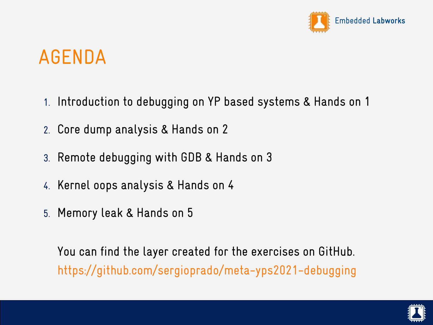

## AGENDA

- 1. Introduction to debugging on YP based systems & Hands on 1
- 2. Core dump analysis & Hands on 2
- 3. Remote debugging with GDB & Hands on 3
- 4. Kernel oops analysis & Hands on 4
- 5. Memory leak & Hands on 5

You can find the layer created for the exercises on GitHub. <https://github.com/sergioprado/meta-yps2021-debugging>

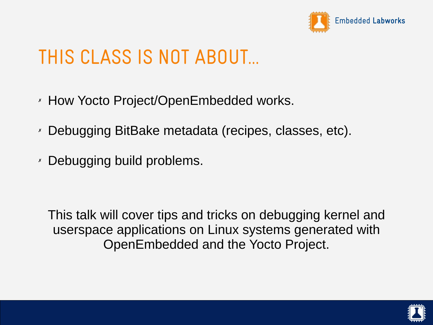

## THIS CLASS IS NOT ABOUT...

- ✗ How Yocto Project/OpenEmbedded works.
- ✗ Debugging BitBake metadata (recipes, classes, etc).
- ✗ Debugging build problems.

This talk will cover tips and tricks on debugging kernel and userspace applications on Linux systems generated with OpenEmbedded and the Yocto Project.

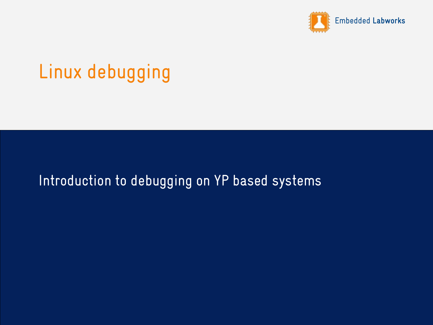

## Linux debugging

#### Introduction to debugging on YP based systems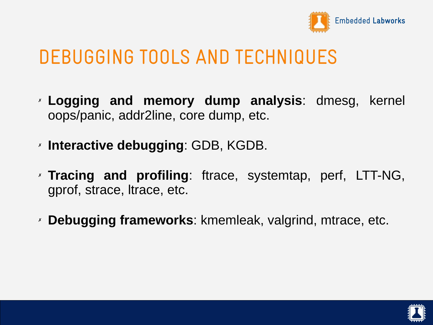

#### DEBUGGING TOOLS AND TECHNIQUES

- ✗ **Logging and memory dump analysis**: dmesg, kernel oops/panic, addr2line, core dump, etc.
- ✗ **Interactive debugging**: GDB, KGDB.
- ✗ **Tracing and profiling**: ftrace, systemtap, perf, LTT-NG, gprof, strace, ltrace, etc.
- ✗ **Debugging frameworks**: kmemleak, valgrind, mtrace, etc.

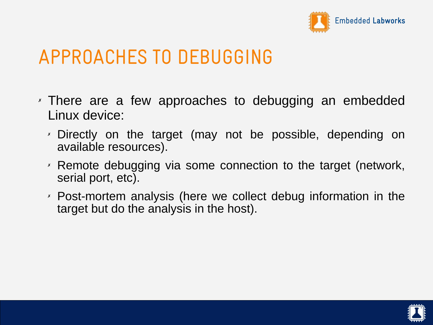

#### APPROACHES TO DEBUGGING

- ✗ There are a few approaches to debugging an embedded Linux device:
	- ✗ Directly on the target (may not be possible, depending on available resources).
	- ✗ Remote debugging via some connection to the target (network, serial port, etc).
	- ✗ Post-mortem analysis (here we collect debug information in the target but do the analysis in the host).

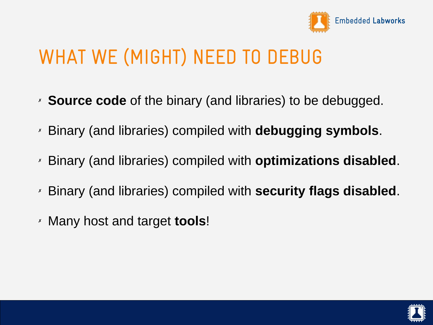

## WHAT WE (MIGHT) NEED TO DEBUG

- ✗ **Source code** of the binary (and libraries) to be debugged.
- ✗ Binary (and libraries) compiled with **debugging symbols**.
- ✗ Binary (and libraries) compiled with **optimizations disabled**.
- ✗ Binary (and libraries) compiled with **security flags disabled**.
- ✗ Many host and target **tools**!

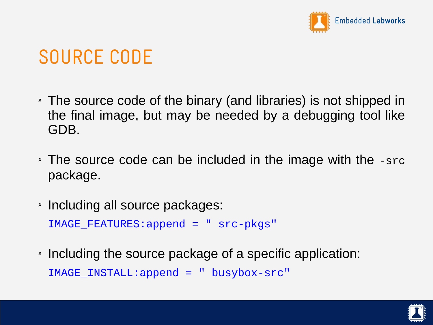

## SOURCE CODE

- ✗ The source code of the binary (and libraries) is not shipped in the final image, but may be needed by a debugging tool like GDB.
- ✗ The source code can be included in the image with the -src package.
- ✗ Including all source packages: IMAGE\_FEATURES:append = " src-pkgs"
- ✗ Including the source package of a specific application: IMAGE\_INSTALL:append = " busybox-src"

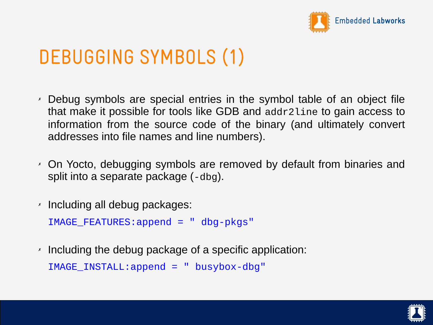

## DEBUGGING SYMBOLS (1)

- ✗ Debug symbols are special entries in the symbol table of an object file that make it possible for tools like GDB and addr2line to gain access to information from the source code of the binary (and ultimately convert addresses into file names and line numbers).
- ✗ On Yocto, debugging symbols are removed by default from binaries and split into a separate package (-dbg).
- ✗ Including all debug packages:

IMAGE\_FEATURES:append = " dbg-pkgs"

✗ Including the debug package of a specific application: IMAGE INSTALL:append =  $"$  busybox-dbg"

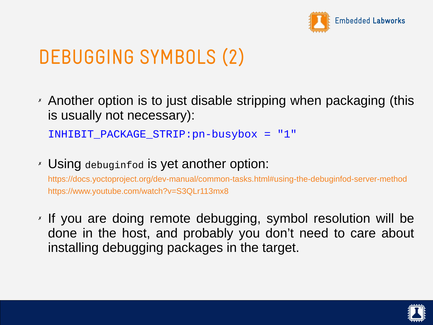

## DEBUGGING SYMBOLS (2)

✗ Another option is to just disable stripping when packaging (this is usually not necessary):

INHIBIT\_PACKAGE\_STRIP:pn-busybox = "1"

✗ Using debuginfod is yet another option:

<https://docs.yoctoproject.org/dev-manual/common-tasks.html#using-the-debuginfod-server-method> <https://www.youtube.com/watch?v=S3QLr113mx8>

✗ If you are doing remote debugging, symbol resolution will be done in the host, and probably you don't need to care about installing debugging packages in the target.

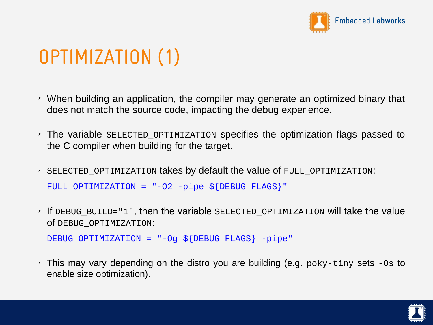

# OPTIMIZATION (1)

- ✗ When building an application, the compiler may generate an optimized binary that does not match the source code, impacting the debug experience.
- $\times$  The variable SELECTED OPTIMIZATION specifies the optimization flags passed to the C compiler when building for the target.
- ✗ SELECTED\_OPTIMIZATION takes by default the value of FULL\_OPTIMIZATION: FULL\_OPTIMIZATION = "-O2 -pipe \${DEBUG\_FLAGS}"
- ✗ If DEBUG\_BUILD="1", then the variable SELECTED\_OPTIMIZATION will take the value of DEBUG\_OPTIMIZATION:

DEBUG\_OPTIMIZATION = "-Og \${DEBUG\_FLAGS} -pipe"

✗ This may vary depending on the distro you are building (e.g. poky-tiny sets -Os to enable size optimization).

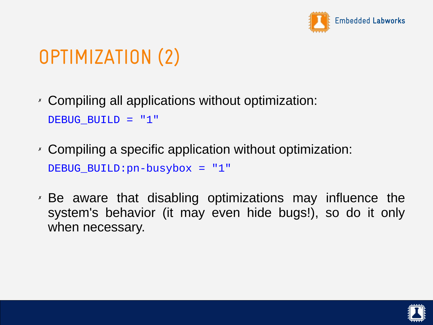

# OPTIMIZATION (2)

- ✗ Compiling all applications without optimization: DEBUG\_BUILD = "1"
- ✗ Compiling a specific application without optimization: DEBUG\_BUILD:pn-busybox = "1"
- ✗ Be aware that disabling optimizations may influence the system's behavior (it may even hide bugs!), so do it only when necessary.

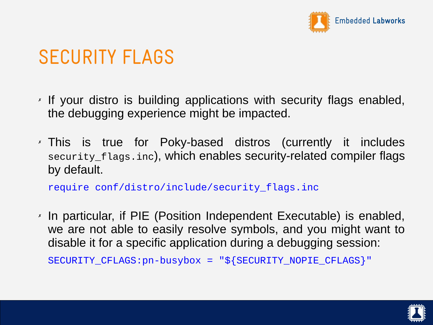

#### SECURITY FLAGS

- ✗ If your distro is building applications with security flags enabled, the debugging experience might be impacted.
- ✗ This is true for Poky-based distros (currently it includes security\_flags.inc), which enables security-related compiler flags by default.

require conf/distro/include/security\_flags.inc

✗ In particular, if PIE (Position Independent Executable) is enabled, we are not able to easily resolve symbols, and you might want to disable it for a specific application during a debugging session:

SECURITY\_CFLAGS:pn-busybox = "\${SECURITY\_NOPIE\_CFLAGS}"

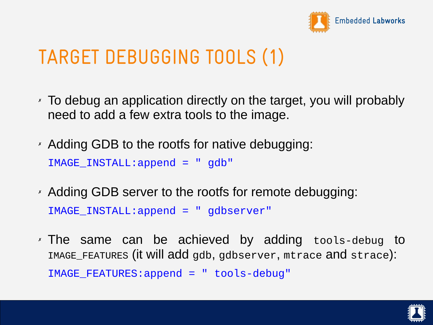

## TARGET DEBUGGING TOOLS (1)

- ✗ To debug an application directly on the target, you will probably need to add a few extra tools to the image.
- ✗ Adding GDB to the rootfs for native debugging: IMAGE\_INSTALL:append = " gdb"
- ✗ Adding GDB server to the rootfs for remote debugging: IMAGE\_INSTALL:append = " gdbserver"
- ✗ The same can be achieved by adding tools-debug to IMAGE\_FEATURES (it will add gdb, gdbserver, mtrace and strace): IMAGE\_FEATURES:append = " tools-debug"

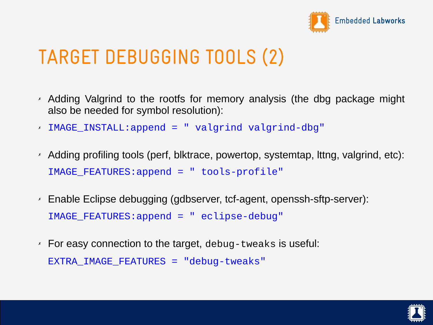

## TARGET DEBUGGING TOOLS (2)

- ✗ Adding Valgrind to the rootfs for memory analysis (the dbg package might also be needed for symbol resolution):
- ✗ IMAGE\_INSTALL:append = " valgrind valgrind-dbg"
- ✗ Adding profiling tools (perf, blktrace, powertop, systemtap, lttng, valgrind, etc): IMAGE\_FEATURES:append = " tools-profile"
- ✗ Enable Eclipse debugging (gdbserver, tcf-agent, openssh-sftp-server): IMAGE\_FEATURES:append = " eclipse-debug"
- $\lambda$  For easy connection to the target, debug-tweaks is useful: EXTRA IMAGE FEATURES = "debug-tweaks"

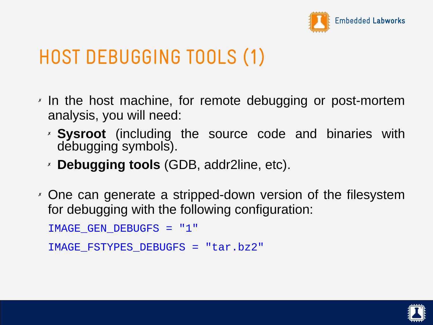

## HOST DEBUGGING TOOLS (1)

- ✗ In the host machine, for remote debugging or post-mortem analysis, you will need:
	- ✗ **Sysroot** (including the source code and binaries with debugging symbols).
	- ✗ **Debugging tools** (GDB, addr2line, etc).
- ✗ One can generate a stripped-down version of the filesystem for debugging with the following configuration:

```
IMAGE_GEN_DEBUGFS = "1"
```

```
IMAGE_FSTYPES_DEBUGFS = "tar.bz2"
```
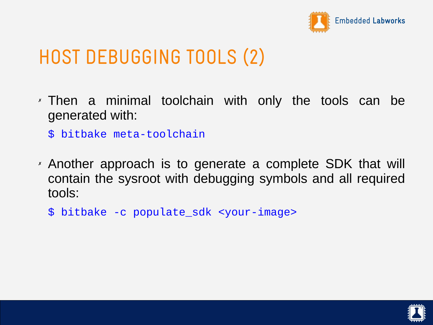

## HOST DEBUGGING TOOLS (2)

- ✗ Then a minimal toolchain with only the tools can be generated with:
	- \$ bitbake meta-toolchain
- ✗ Another approach is to generate a complete SDK that will contain the sysroot with debugging symbols and all required tools:
	- \$ bitbake -c populate\_sdk <your-image>

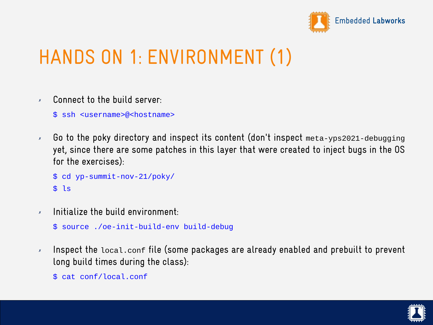

# HANDS ON 1: ENVIRONMENT (1)

✗ Connect to the build server:

\$ ssh <username>@<hostname>

✗ Go to the poky directory and inspect its content (don't inspect meta-yps2021-debugging yet, since there are some patches in this layer that were created to inject bugs in the OS for the exercises):

```
$ cd yp-summit-nov-21/poky/
$ ls
```
 $x$  Initialize the build environment

```
$ source ./oe-init-build-env build-debug
```
- $\lambda$  Inspect the local.conf file (some packages are already enabled and prebuilt to prevent long build times during the class):
	- \$ cat conf/local.conf

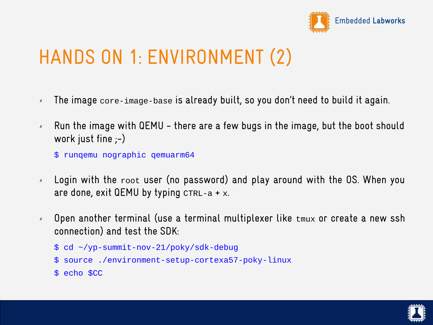

# HANDS ON 1: ENVIRONMENT (2)

- ✗ The image core-image-base is already built, so you don't need to build it again.
- $\times$  Run the image with QEMU there are a few bugs in the image, but the boot should work just fine  $;-$ )
	- \$ runqemu nographic qemuarm64
- $\times$  Login with the  $root$  user (no password) and play around with the OS. When you are done, exit QEMU by typing  $CTRL-a + x$ .
- ✗ Open another terminal (use a terminal multiplexer like tmux or create a new ssh connection) and test the SDK:

```
$ cd ~/yp-summit-nov-21/poky/sdk-debug
```
- \$ source ./environment-setup-cortexa57-poky-linux
- \$ echo \$CC

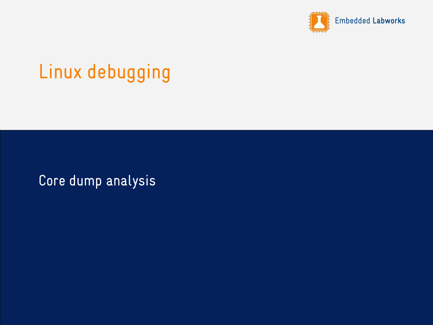

## Linux debugging

Core dump analysis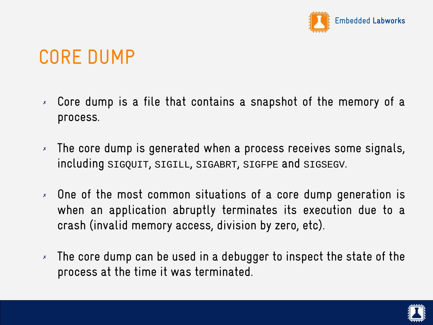

## CORE DUMP

- ✗ Core dump is a file that contains a snapshot of the memory of a process.
- ✗ The core dump is generated when a process receives some signals, including SIGQUIT, SIGILL, SIGABRT, SIGFPE and SIGSEGV.
- ✗ One of the most common situations of a core dump generation is when an application abruptly terminates its execution due to a crash (invalid memory access, division by zero, etc).
- $\lambda$  The core dump can be used in a debugger to inspect the state of the process at the time it was terminated.

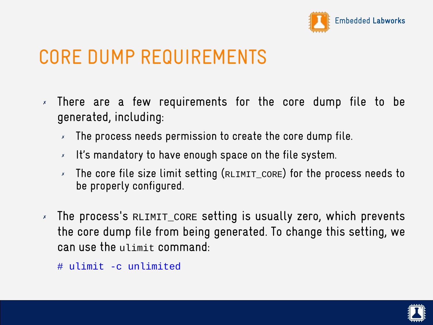

## CORE DUMP REQUIREMENTS

- ✗ There are a few requirements for the core dump file to be generated, including:
	- ✗ The process needs permission to create the core dump file.
	- ✗ It's mandatory to have enough space on the file system.
	- The core file size limit setting (RLIMIT\_CORE) for the process needs to be properly configured.
- ✗ The process's RLIMIT\_CORE setting is usually zero, which prevents the core dump file from being generated. To change this setting, we can use the ulimit command:
	- # ulimit -c unlimited

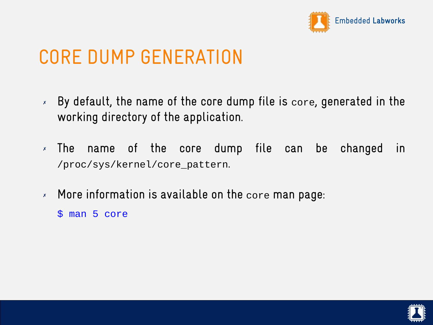

## CORE DUMP GENERATION

- $\times$  By default, the name of the core dump file is core, generated in the working directory of the application.
- ✗ The name of the core dump file can be changed in /proc/sys/kernel/core\_pattern.
- ✗ More information is available on the core man page:
	- \$ man 5 core

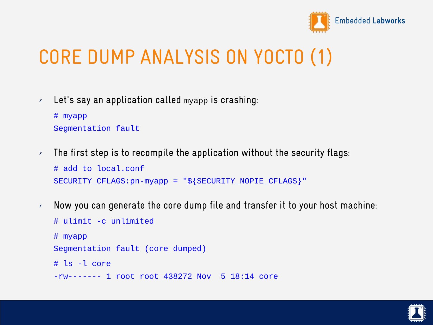

# CORE DUMP ANALYSIS ON YOCTO (1)

✗ Let's say an application called myapp is crashing:

```
# myapp
Segmentation fault
```
- $\lambda$  The first step is to recompile the application without the security flags: # add to local.conf SECURITY\_CFLAGS:pn-myapp = "\${SECURITY\_NOPIE\_CFLAGS}"
- $\lambda$  Now you can generate the core dump file and transfer it to your host machine:

```
# ulimit -c unlimited
# myapp
Segmentation fault (core dumped)
# ls -l core
-rw------- 1 root root 438272 Nov 5 18:14 core
```
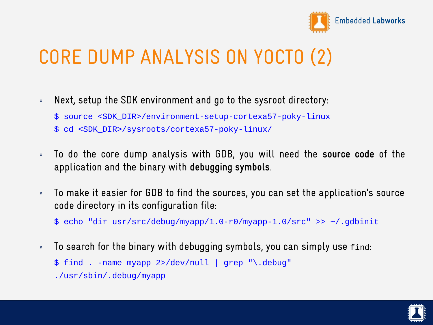

## CORE DUMP ANALYSIS ON YOCTO (2)

- ✗ Next, setup the SDK environment and go to the sysroot directory:
	- \$ source <SDK\_DIR>/environment-setup-cortexa57-poky-linux
	- \$ cd <SDK\_DIR>/sysroots/cortexa57-poky-linux/
- ✗ To do the core dump analysis with GDB, you will need the **source code** of the application and the binary with **debugging symbols**.
- $\times$  To make it easier for GDB to find the sources, you can set the application's source code directory in its configuration file:

\$ echo "dir usr/src/debug/myapp/1.0-r0/myapp-1.0/src" >> ~/.gdbinit

✗ To search for the binary with debugging symbols, you can simply use find: \$ find . -name myapp 2>/dev/null | grep "\.debug"

./usr/sbin/.debug/myapp

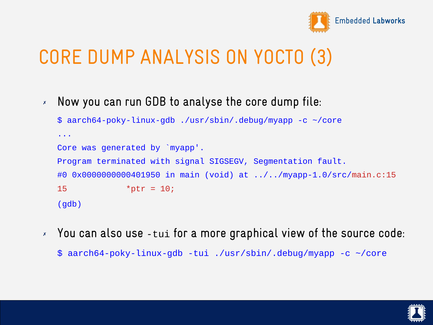

## CORE DUMP ANALYSIS ON YOCTO (3)

✗ Now you can run GDB to analyse the core dump file:

```
$ aarch64-poky-linux-gdb ./usr/sbin/.debug/myapp -c ~/core
...
Core was generated by `myapp'.
Program terminated with signal SIGSEGV, Segmentation fault.
#0 0x0000000000401950 in main (void) at ../../myapp-1.0/src/main.c:15
15 *ptr = 10;
(gdb)
```
✗ You can also use -tui for a more graphical view of the source code:

\$ aarch64-poky-linux-gdb -tui ./usr/sbin/.debug/myapp -c ~/core

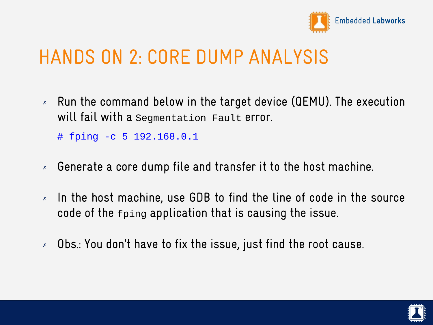

#### HANDS ON 2: CORE DUMP ANALYSIS

 $\times$  Run the command below in the target device (QEMU). The execution will fail with a segmentation Fault error.

# fping -c 5 192.168.0.1

- ✗ Generate a core dump file and transfer it to the host machine.
- ✗ In the host machine, use GDB to find the line of code in the source code of the fping application that is causing the issue.
- ✗ Obs.: You don't have to fix the issue, just find the root cause.

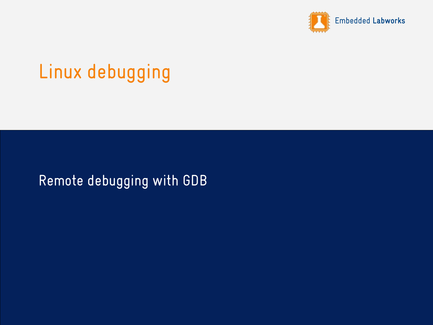

## Linux debugging

#### Remote debugging with GDB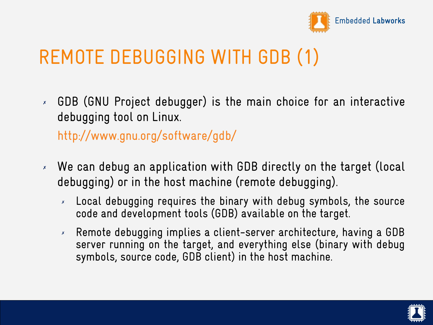

## REMOTE DEBUGGING WITH GDB (1)

✗ GDB (GNU Project debugger) is the main choice for an interactive debugging tool on Linux.

<http://www.gnu.org/software/gdb/>

- ✗ We can debug an application with GDB directly on the target (local debugging) or in the host machine (remote debugging).
	- ✗ Local debugging requires the binary with debug symbols, the source code and development tools (GDB) available on the target.
	- ✗ Remote debugging implies a client-server architecture, having a GDB server running on the target, and everything else (binary with debug symbols, source code, GDB client) in the host machine.

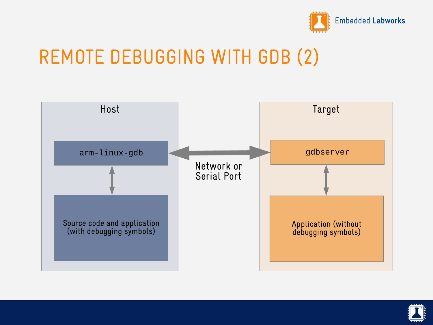

#### REMOTE DEBUGGING WITH GDB (2)



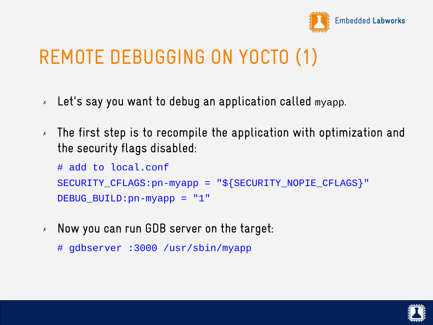

## REMOTE DEBUGGING ON YOCTO (1)

- ✗ Let's say you want to debug an application called myapp.
- ✗ The first step is to recompile the application with optimization and the security flags disabled:

```
# add to local.conf
SECURITY_CFLAGS:pn-myapp = "${SECURITY_NOPIE_CFLAGS}"
DEBUG_BUILD:pn-myapp = "1"
```
- ✗ Now you can run GDB server on the target:
	- # gdbserver :3000 /usr/sbin/myapp

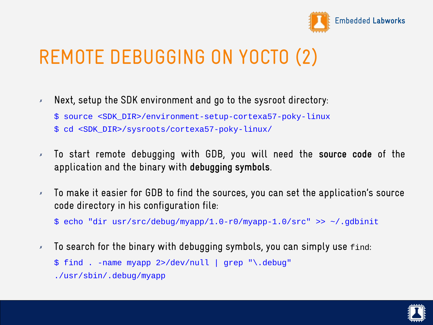

## REMOTE DEBUGGING ON YOCTO (2)

- ✗ Next, setup the SDK environment and go to the sysroot directory:
	- \$ source <SDK\_DIR>/environment-setup-cortexa57-poky-linux
	- \$ cd <SDK\_DIR>/sysroots/cortexa57-poky-linux/
- ✗ To start remote debugging with GDB, you will need the **source code** of the application and the binary with **debugging symbols**.
- $\times$  To make it easier for GDB to find the sources, you can set the application's source code directory in his configuration file:

\$ echo "dir usr/src/debug/myapp/1.0-r0/myapp-1.0/src" >> ~/.gdbinit

✗ To search for the binary with debugging symbols, you can simply use find: \$ find . -name myapp 2>/dev/null | grep "\.debug"

./usr/sbin/.debug/myapp

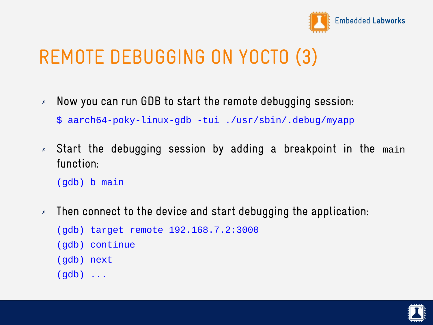

## REMOTE DEBUGGING ON YOCTO (3)

- $\times$  Now you can run GDB to start the remote debugging session: \$ aarch64-poky-linux-gdb -tui ./usr/sbin/.debug/myapp
- ✗ Start the debugging session by adding a breakpoint in the main function:

(gdb) b main

✗ Then connect to the device and start debugging the application:

```
(gdb) target remote 192.168.7.2:3000
(gdb) continue
(gdb) next
(gdb) ...
```
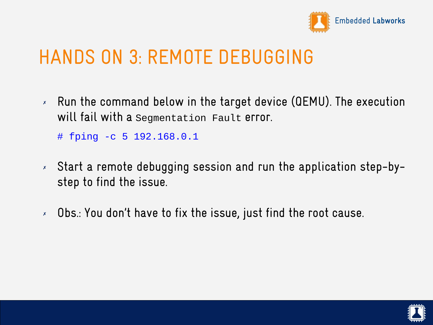

## HANDS ON 3: REMOTE DEBUGGING

 $\times$  Run the command below in the target device (QEMU). The execution will fail with a Segmentation Fault error.

# fping -c 5 192.168.0.1

- ✗ Start a remote debugging session and run the application step-bystep to find the issue.
- ✗ Obs.: You don't have to fix the issue, just find the root cause.

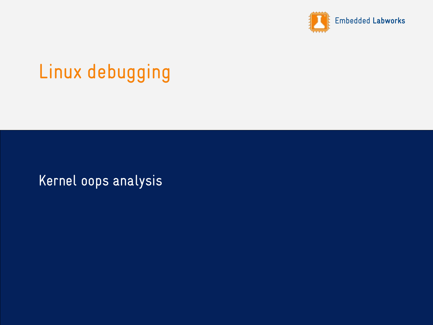

# Linux debugging

Kernel oops analysis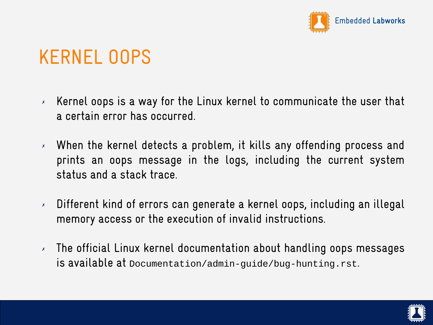

# KERNEL OOPS

- $\times$  Kernel oops is a way for the Linux kernel to communicate the user that a certain error has occurred.
- ✗ When the kernel detects a problem, it kills any offending process and prints an oops message in the logs, including the current system status and a stack trace.
- ✗ Different kind of errors can generate a kernel oops, including an illegal memory access or the execution of invalid instructions.
- $\lambda$  The official Linux kernel documentation about handling oops messages is available at Documentation/admin-guide/bug-hunting.rst.

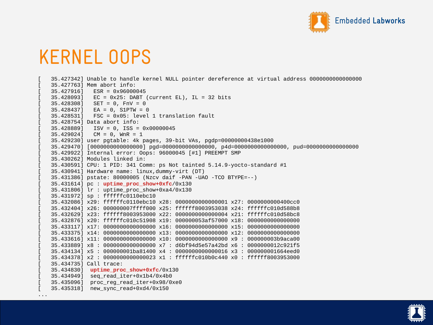

#### KERNEL OOPS

```
[ 35.427342] Unable to handle kernel NULL pointer dereference at virtual address 0000000000000000
[ 35.427763] Mem abort info:
[ 35.427916] ESR = 0x96000045
35.428093 EC = 0x25: DABT (current EL), IL = 32 bits
35.428308] SET = 0, FnV = 0
[35.428437] EA = 0, S1PTW = 0
[ 35.428531] FSC = 0x05: level 1 translation fault
[ 35.428754] Data abort info:
[ 35.428889] ISV = 0, ISS = 0x00000045
[35.429024] CM = 0, WnR = 1
[ 35.429230] user pgtable: 4k pages, 39-bit VAs, pgdp=00000000438e1000
[ 35.429470] [0000000000000000] pgd=0000000000000000, p4d=0000000000000000, pud=0000000000000000
[ 35.429922] Internal error: Oops: 96000045 [#1] PREEMPT SMP
[ 35.430262] Modules linked in:
35.430591] CPU: 1 PID: 341 Comm: ps Not tainted 5.14.9-yocto-standard #1[ 35.430941] Hardware name: linux,dummy-virt (DT)
[ 35.431386] pstate: 80000005 (Nzcv daif -PAN -UAO -TCO BTYPE=--)
[ 35.431614] pc : uptime_proc_show+0xfc/0x130
[ 35.431806] lr : uptime_proc_show+0xa4/0x130
[ 35.431972] sp : ffffffc0110ebc10
[ 35.432086] x29: ffffffc0110ebc10 x28: 0000000000000001 x27: 0000000000400cc0
[ 35.432404] x26: 000000007ffff000 x25: ffffff8003953038 x24: ffffffc010d588b8
[ 35.432629] x23: ffffff8003953000 x22: 0000000000000004 x21: ffffffc010d58bc8
[ 35.432876] x20: ffffffc010c51908 x19: 000000053af57000 x18: 0000000000000000
[ 35.433117] x17: 0000000000000000 x16: 0000000000000000 x15: 0000000000000000
[ 35.433375] x14: 0000000000000000 x13: 0000000000000000 x12: 0000000000000000
[ 35.433616] x11: 0000000000000000 x10: 0000000000000000 x9 : 000000003b9aca00
[ 35.433889] x8 : 0000000000000000 x7 : d6bf94d5e57a42bd x6 : 0000000012c921f5
[ 35.434134] x5 : 000000001ba81400 x4 : 0000000000000016 x3 : 000000001664eed0
[ 35.434378] x2 : 0000000000000023 x1 : ffffffc010b0c440 x0 : ffffff8003953000
[ 35.434735] Call trace:
[ 35.434830] uptime_proc_show+0xfc/0x130
[ 35.434949] seq_read_iter+0x1b4/0x4b0
[ 35.435096] proc_reg_read_iter+0x98/0xe0
[ 35.435318] new_sync_read+0xd4/0x150
```


...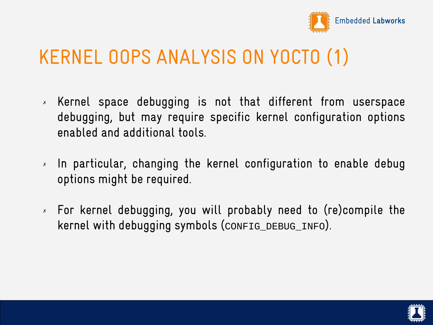

### KERNEL OOPS ANALYSIS ON YOCTO (1)

- ✗ Kernel space debugging is not that different from userspace debugging, but may require specific kernel configuration options enabled and additional tools.
- ✗ In particular, changing the kernel configuration to enable debug options might be required.
- ✗ For kernel debugging, you will probably need to (re)compile the kernel with debugging symbols (CONFIG\_DEBUG\_INFO).

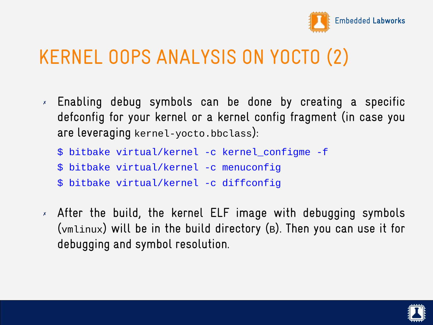

### KERNEL OOPS ANALYSIS ON YOCTO (2)

- ✗ Enabling debug symbols can be done by creating a specific defconfig for your kernel or a kernel config fragment (in case you are leveraging kernel-yocto.bbclass):
	- \$ bitbake virtual/kernel -c kernel\_configme -f
	- \$ bitbake virtual/kernel -c menuconfig
	- \$ bitbake virtual/kernel -c diffconfig
- ✗ After the build, the kernel ELF image with debugging symbols (vmlinux) will be in the build directory (B). Then you can use it for debugging and symbol resolution.

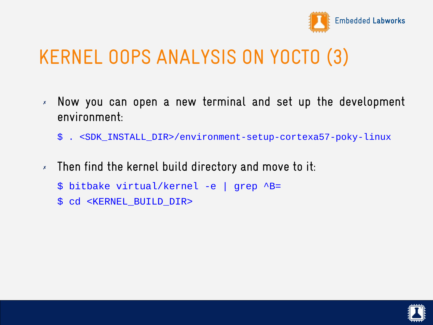

## KERNEL OOPS ANALYSIS ON YOCTO (3)

- ✗ Now you can open a new terminal and set up the development environment:
	- \$ . <SDK\_INSTALL\_DIR>/environment-setup-cortexa57-poky-linux
- $\times$  Then find the kernel build directory and move to it:
	- \$ bitbake virtual/kernel -e | grep ^B=
	- \$ cd <KERNEL\_BUILD\_DIR>

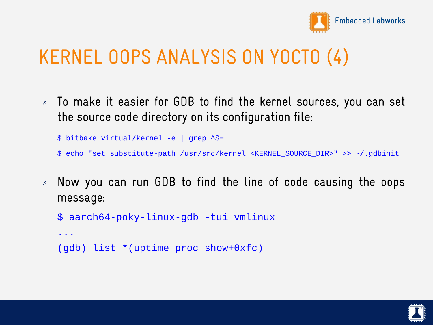

## KERNEL OOPS ANALYSIS ON YOCTO (4)

✗ To make it easier for GDB to find the kernel sources, you can set the source code directory on its configuration file:

\$ bitbake virtual/kernel -e | grep ^S=

- \$ echo "set substitute-path /usr/src/kernel <KERNEL\_SOURCE\_DIR>" >> ~/.gdbinit
- ✗ Now you can run GDB to find the line of code causing the oops message:

```
$ aarch64-poky-linux-gdb -tui vmlinux
```

```
...
(gdb) list *(uptime_proc_show+0xfc)
```
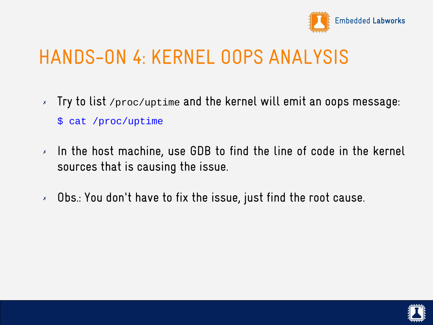

### HANDS-ON 4: KERNEL OOPS ANALYSIS

- ✗ Try to list /proc/uptime and the kernel will emit an oops message: \$ cat /proc/uptime
- ✗ In the host machine, use GDB to find the line of code in the kernel sources that is causing the issue.
- ✗ Obs.: You don't have to fix the issue, just find the root cause.

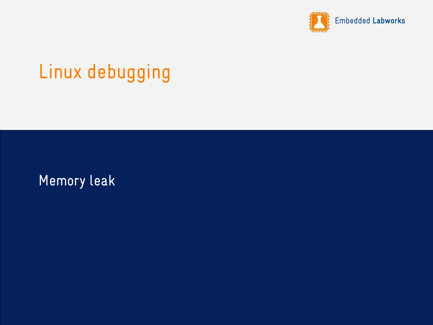

## Linux debugging

Memory leak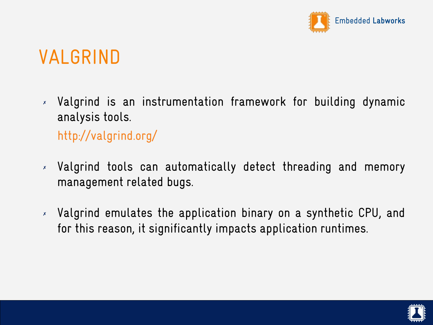

## VALGRIND

✗ Valgrind is an instrumentation framework for building dynamic analysis tools.

<http://valgrind.org/>

- ✗ Valgrind tools can automatically detect threading and memory management related bugs.
- ✗ Valgrind emulates the application binary on a synthetic CPU, and for this reason, it significantly impacts application runtimes.

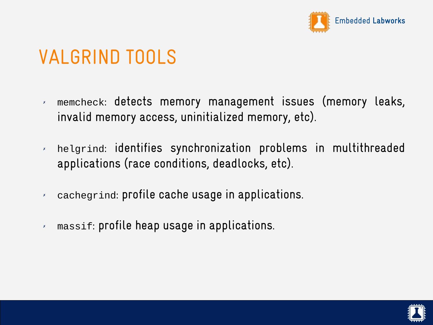

## VALGRIND TOOLS

- ✗ memcheck: detects memory management issues (memory leaks, invalid memory access, uninitialized memory, etc).
- ✗ helgrind: identifies synchronization problems in multithreaded applications (race conditions, deadlocks, etc).
- ✗ cachegrind: profile cache usage in applications.
- ✗ massif: profile heap usage in applications.

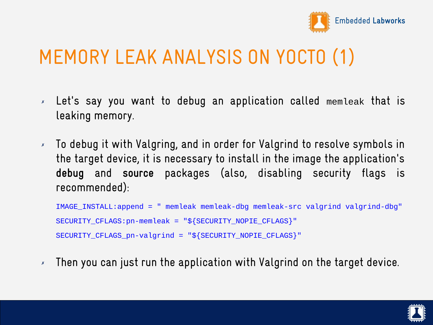

## MEMORY LEAK ANALYSIS ON YOCTO (1)

- ✗ Let's say you want to debug an application called memleak that is leaking memory.
- ✗ To debug it with Valgring, and in order for Valgrind to resolve symbols in the target device, it is necessary to install in the image the application's **debug** and **source** packages (also, disabling security flags is recommended):

```
IMAGE INSTALL:append = " memleak memleak-dbg memleak-src valgrind valgrind-dbg"
SECURITY CFLAGS:pn-memleak = "${SECURITY_NOPIE_CFLAGS}"
SECURITY CFLAGS pn-valgrind = "${SECURITY NOPIE CFLAGS}"
```
 $\times$  Then you can just run the application with Valgrind on the target device.

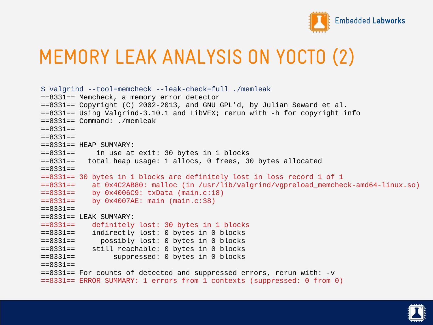

## MEMORY LEAK ANALYSIS ON YOCTO (2)

```
$ valgrind --tool=memcheck --leak-check=full ./memleak 
==8331== Memcheck, a memory error detector
==8331== Copyright (C) 2002-2013, and GNU GPL'd, by Julian Seward et al.
==8331== Using Valgrind-3.10.1 and LibVEX; rerun with -h for copyright info
==8331== Command: ./memleak
==8331===8331==
==8331== HEAP SUMMARY:
==8331== in use at exit: 30 bytes in 1 blocks<br>==8331== total heap usage: 1 allocs. 0 frees. 3
           total heap usage: 1 allocs, 0 frees, 30 bytes allocated
=8331==8331== 30 bytes in 1 blocks are definitely lost in loss record 1 of 1<br>=8331==  at 0 \times 4024B80: malloc (in /usr/lib/valgrind/vonreload memchee
==8331== at 0x4C2AB80: malloc (in /usr/lib/valgrind/vgpreload_memcheck-amd64-linux.so)
             by 0x4006C9: txData (main.c:18)
==8331== by 0x4007AE: main (main.c:38)
==8331====8331== LEAK SUMMARY:
             definitely lost: 30 bytes in 1 blocks
==8331== indirectly lost: 0 bytes in 0 blocks
               possibly lost: 0 bytes in 0 blocks
==8331== still reachable: 0 bytes in 0 blocks
                   suppressed: 0 bytes in 0 blocks
==8331====8331== For counts of detected and suppressed errors, rerun with: -v
==8331== ERROR SUMMARY: 1 errors from 1 contexts (suppressed: 0 from 0)
```
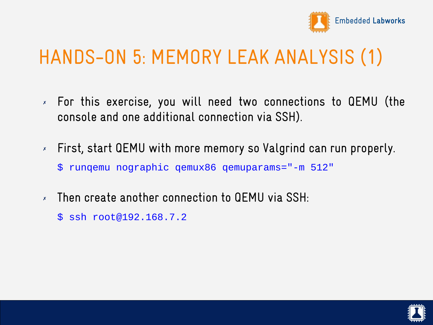

## HANDS-ON 5: MEMORY LEAK ANALYSIS (1)

- ✗ For this exercise, you will need two connections to QEMU (the console and one additional connection via SSH).
- ✗ First, start QEMU with more memory so Valgrind can run properly. \$ runqemu nographic qemux86 qemuparams="-m 512"
- ✗ Then create another connection to QEMU via SSH:
	- \$ ssh root@192.168.7.2

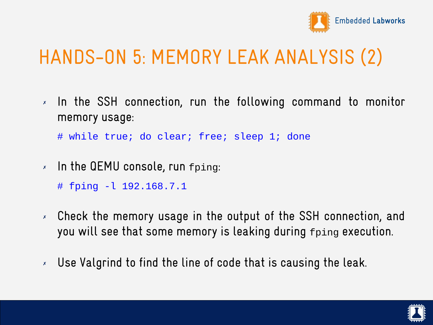

## HANDS-ON 5: MEMORY LEAK ANALYSIS (2)

✗ In the SSH connection, run the following command to monitor memory usage:

# while true; do clear; free; sleep 1; done

✗ In the QEMU console, run fping:

# fping -l 192.168.7.1

- ✗ Check the memory usage in the output of the SSH connection, and you will see that some memory is leaking during fping execution.
- ✗ Use Valgrind to find the line of code that is causing the leak.